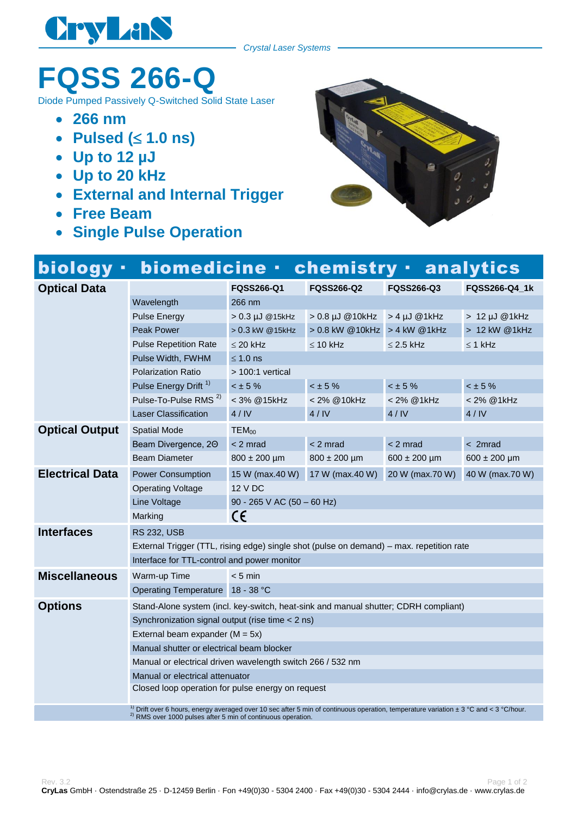

## **FQSS 266-Q**

Diode Pumped Passively Q-Switched Solid State Laser

- **266 nm**
- Pulsed ( $\leq 1.0$  ns)
- **Up to 12 µJ**
- **Up to 20 kHz**
- **External and Internal Trigger**
- **Free Beam**
- **Single Pulse Operation**



## biology · biomedicine · chemistry · analytics

| <b>Optical Data</b>                                                                                                                                  |                                                                                          | <b>FQSS266-Q1</b>          | <b>FQSS266-Q2</b>              | <b>FQSS266-Q3</b>  | FQSS266-Q4_1k    |  |  |  |
|------------------------------------------------------------------------------------------------------------------------------------------------------|------------------------------------------------------------------------------------------|----------------------------|--------------------------------|--------------------|------------------|--|--|--|
|                                                                                                                                                      | Wavelength                                                                               | 266 nm                     |                                |                    |                  |  |  |  |
|                                                                                                                                                      | <b>Pulse Energy</b>                                                                      | > 0.3 µJ @15kHz            | $>0.8$ µJ @10kHz               | $> 4 \mu J$ @ 1kHz | > 12 µJ @1kHz    |  |  |  |
|                                                                                                                                                      | <b>Peak Power</b>                                                                        | > 0.3 kW @15kHz            | > 0.8 kW @ 10kHz > 4 kW @ 1kHz |                    | $>12$ kW @1kHz   |  |  |  |
|                                                                                                                                                      | <b>Pulse Repetition Rate</b>                                                             | $\leq$ 20 kHz              | $\leq$ 10 kHz                  | $\leq$ 2.5 kHz     | $\leq$ 1 kHz     |  |  |  |
|                                                                                                                                                      | Pulse Width, FWHM                                                                        | $\leq 1.0$ ns              |                                |                    |                  |  |  |  |
|                                                                                                                                                      | <b>Polarization Ratio</b>                                                                | > 100:1 vertical           |                                |                    |                  |  |  |  |
|                                                                                                                                                      | Pulse Energy Drift <sup>1)</sup>                                                         | $< \pm 5 \%$               | $< \pm 5 \%$                   | $< \pm 5 \%$       | < 15%            |  |  |  |
|                                                                                                                                                      | Pulse-To-Pulse RMS <sup>2)</sup>                                                         | < 3% @ 15kHz               | < 2% @10kHz                    | < 2% @ 1kHz        | < 2% @ 1kHz      |  |  |  |
|                                                                                                                                                      | <b>Laser Classification</b>                                                              | 4/IV                       | 4/IV                           | 4/IV               | 4/IV             |  |  |  |
| <b>Optical Output</b>                                                                                                                                | <b>Spatial Mode</b>                                                                      | $TEM_{00}$                 |                                |                    |                  |  |  |  |
|                                                                                                                                                      | Beam Divergence, 20                                                                      | $< 2$ mrad                 | $< 2$ mrad                     | $< 2$ mrad         | $<$ 2mrad        |  |  |  |
|                                                                                                                                                      | <b>Beam Diameter</b>                                                                     | $800 \pm 200$ µm           | $800 \pm 200$ µm               | $600 \pm 200$ µm   | $600 \pm 200$ µm |  |  |  |
| <b>Electrical Data</b>                                                                                                                               | <b>Power Consumption</b>                                                                 | 15 W (max.40 W)            | 17 W (max.40 W)                | 20 W (max.70 W)    | 40 W (max.70 W)  |  |  |  |
|                                                                                                                                                      | <b>Operating Voltage</b>                                                                 | 12 V DC                    |                                |                    |                  |  |  |  |
|                                                                                                                                                      | Line Voltage                                                                             | 90 - 265 V AC (50 - 60 Hz) |                                |                    |                  |  |  |  |
|                                                                                                                                                      | Marking                                                                                  | C€                         |                                |                    |                  |  |  |  |
| <b>Interfaces</b>                                                                                                                                    | <b>RS 232, USB</b>                                                                       |                            |                                |                    |                  |  |  |  |
|                                                                                                                                                      | External Trigger (TTL, rising edge) single shot (pulse on demand) – max. repetition rate |                            |                                |                    |                  |  |  |  |
|                                                                                                                                                      | Interface for TTL-control and power monitor                                              |                            |                                |                    |                  |  |  |  |
| <b>Miscellaneous</b>                                                                                                                                 | Warm-up Time                                                                             | $< 5$ min                  |                                |                    |                  |  |  |  |
|                                                                                                                                                      | Operating Temperature 18 - 38 °C                                                         |                            |                                |                    |                  |  |  |  |
| <b>Options</b>                                                                                                                                       | Stand-Alone system (incl. key-switch, heat-sink and manual shutter; CDRH compliant)      |                            |                                |                    |                  |  |  |  |
|                                                                                                                                                      | Synchronization signal output (rise time < 2 ns)                                         |                            |                                |                    |                  |  |  |  |
|                                                                                                                                                      | External beam expander ( $M = 5x$ )                                                      |                            |                                |                    |                  |  |  |  |
|                                                                                                                                                      | Manual shutter or electrical beam blocker                                                |                            |                                |                    |                  |  |  |  |
|                                                                                                                                                      | Manual or electrical driven wavelength switch 266 / 532 nm                               |                            |                                |                    |                  |  |  |  |
|                                                                                                                                                      | Manual or electrical attenuator                                                          |                            |                                |                    |                  |  |  |  |
|                                                                                                                                                      | Closed loop operation for pulse energy on request                                        |                            |                                |                    |                  |  |  |  |
| <sup>1)</sup> Drift over 6 hours, energy averaged over 10 sec after 5 min of continuous operation, temperature variation $\pm$ 3 °C and < 3 °C/hour. |                                                                                          |                            |                                |                    |                  |  |  |  |
| <sup>2)</sup> RMS over 1000 pulses after 5 min of continuous operation.                                                                              |                                                                                          |                            |                                |                    |                  |  |  |  |